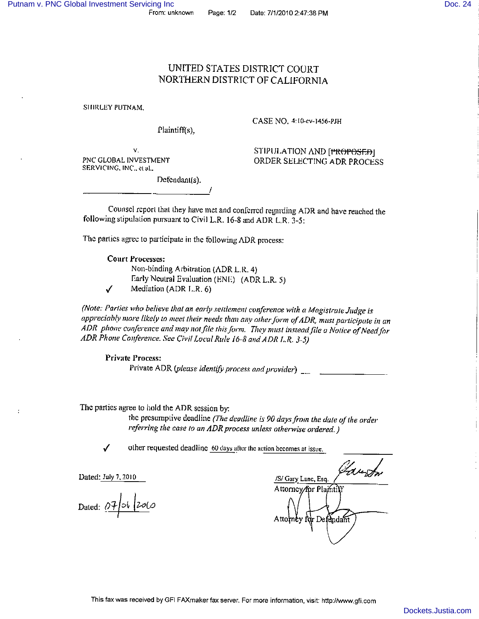## UNITED STATES DISTRICT COURT NORTHERN DISTRICT OF CALIFORNIA

SHIRLEY PUTNAM,

Plaintiff(s).

CASE NO. 4:10-cv-1456-PJH

V. PNC GLOBAL INVESTMENT SERVICING, INC., et al.,

STIPULATION AND [PROPOSED] ORDER SELECTING ADR PROCESS

Defendant(s).

Counsel report that they have met and conferred regarding ADR and have reached the following stipulation pursuant to Civil L.R. 16-8 and ADR L.R. 3-5:

The parties agree to participate in the following ADR process:

**Court Processes:** Non-binding Arbitration (ADR L.R. 4)

Early Neutral Evaluation (ENE) (ADR L.R. 5) Mediation (ADR L.R. 6)

(Note: Parties who believe that an early settlement conference with a Magistrate Judge is appreciably more likely to meet their needs than any other form of ADR, must participate in an ADR phone conference and may not file this form. They must instead file a Notice of Need for ADR Phone Conference. See Civil Local Rule 16-8 and ADR L.R. 3-5)

**Private Process:** Private ADR (please identify process and provider)  $\frac{1}{2}$ 

The parties agree to hold the ADR session by:

the presumptive deadline (The deadline is 90 days from the date of the order referring the case to an ADR process unless otherwise ordered.)

 $\checkmark$ 

 $\cdot$ 

✓

other requested deadline 60 days after the action becomes at issue.

Dated: July 7, 2010

Dated:  $07$  of  $200$ 

/S/ Gary Lanc, Esq Attorney/for Plamtif Attomby for Defendant